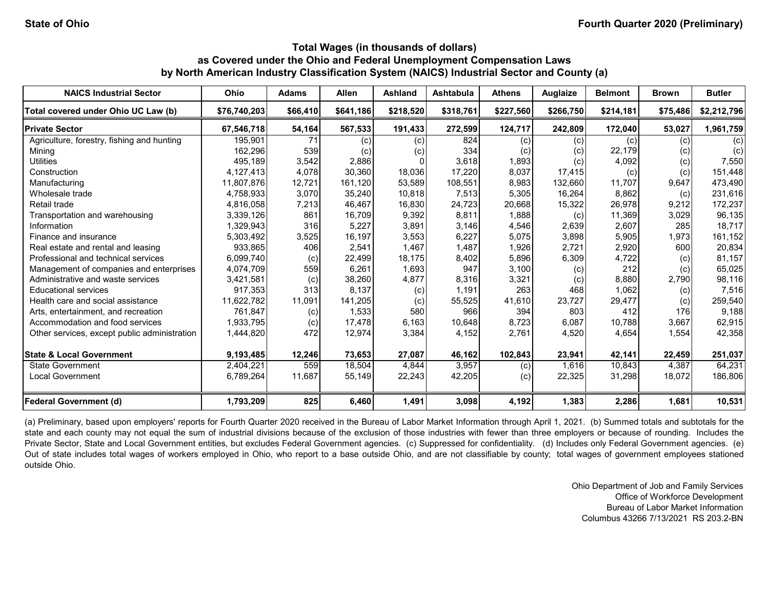| <b>NAICS Industrial Sector</b>               | <b>Ohio</b>  | <b>Adams</b> | <b>Allen</b> | Ashland   | <b>Ashtabula</b> | <b>Athens</b> | <b>Auglaize</b> | <b>Belmont</b> | <b>Brown</b> | <b>Butler</b> |
|----------------------------------------------|--------------|--------------|--------------|-----------|------------------|---------------|-----------------|----------------|--------------|---------------|
| Total covered under Ohio UC Law (b)          | \$76,740,203 | \$66,410     | \$641,186    | \$218,520 | \$318,761        | \$227,560     | \$266,750       | \$214,181      | \$75,486     | \$2,212,796   |
| <b>Private Sector</b>                        | 67,546,718   | 54,164       | 567,533      | 191,433   | 272,599          | 124,717       | 242,809         | 172,040        | 53,027       | 1,961,759     |
| Agriculture, forestry, fishing and hunting   | 195,901      | 71           | (c)          | (c)       | 824              | (c)           | (c)             | (c)            | (c)          | (c)           |
| Mining                                       | 162,296      | 539          | (c)          | (c)       | 334              | (c)           | (c)             | 22,179         | (c)          | (c)           |
| <b>Utilities</b>                             | 495,189      | 3,542        | 2,886        |           | 3,618            | 1,893         | (c)             | 4,092          | (c)          | 7,550         |
| Construction                                 | 4,127,413    | 4,078        | 30,360       | 18,036    | 17,220           | 8,037         | 17,415          | (c)            | (c)          | 151,448       |
| Manufacturing                                | 11,807,876   | 12,721       | 161,120      | 53,589    | 108,551          | 8,983         | 132,660         | 11,707         | 9,647        | 473,490       |
| Wholesale trade                              | 4,758,933    | 3,070        | 35,240       | 10,818    | 7,513            | 5,305         | 16,264          | 8,862          | (c)          | 231,616       |
| Retail trade                                 | 4,816,058    | 7,213        | 46,467       | 16,830    | 24.723           | 20,668        | 15,322          | 26,978         | 9,212        | 172,237       |
| Transportation and warehousing               | 3,339,126    | 861          | 16,709       | 9,392     | 8,811            | 1,888         | (c)             | 11,369         | 3,029        | 96,135        |
| Information                                  | 1,329,943    | 316          | 5,227        | 3,891     | 3,146            | 4,546         | 2,639           | 2,607          | 285          | 18,717        |
| Finance and insurance                        | 5,303,492    | 3,525        | 16,197       | 3,553     | 6,227            | 5,075         | 3,898           | 5,905          | 1,973        | 161,152       |
| Real estate and rental and leasing           | 933,865      | 406          | 2,541        | 1,467     | 1,487            | 1,926         | 2,721           | 2,920          | 600          | 20,834        |
| Professional and technical services          | 6,099,740    | (c)          | 22,499       | 18,175    | 8,402            | 5,896         | 6,309           | 4,722          | (c)          | 81,157        |
| Management of companies and enterprises      | 4,074,709    | 559          | 6,261        | 1,693     | 947              | 3,100         | (c)             | 212            | (c)          | 65,025        |
| Administrative and waste services            | 3,421,581    | (c)          | 38,260       | 4,877     | 8,316            | 3,321         | (c)             | 8,880          | 2.790        | 98,116        |
| <b>Educational services</b>                  | 917,353      | 313          | 8,137        | (c)       | 1,191            | 263           | 468             | 1,062          | (c)          | 7,516         |
| Health care and social assistance            | 11,622,782   | 11,091       | 141,205      | (c)       | 55,525           | 41,610        | 23,727          | 29,477         | (c)          | 259,540       |
| Arts, entertainment, and recreation          | 761,847      | (c)          | 1,533        | 580       | 966              | 394           | 803             | 412            | 176          | 9,188         |
| Accommodation and food services              | 1,933,795    | (c)          | 17,478       | 6,163     | 10,648           | 8,723         | 6.087           | 10.788         | 3.667        | 62,915        |
| Other services, except public administration | 1,444,820    | 472          | 12,974       | 3,384     | 4,152            | 2,761         | 4,520           | 4,654          | 1,554        | 42,358        |
| <b>State &amp; Local Government</b>          | 9,193,485    | 12,246       | 73,653       | 27,087    | 46,162           | 102,843       | 23,941          | 42,141         | 22,459       | 251,037       |
| <b>State Government</b>                      | 2,404,221    | 559          | 18,504       | 4.844     | 3,957            | (c)           | 1.616           | 10.843         | 4.387        | 64,231        |
| <b>Local Government</b>                      | 6,789,264    | 11,687       | 55,149       | 22,243    | 42,205           | (c)           | 22,325          | 31,298         | 18,072       | 186,806       |
| <b>Federal Government (d)</b>                | 1,793,209    | 825          | 6,460        | 1,491     | 3,098            | 4,192         | 1,383           | 2,286          | 1,681        | 10,531        |

(a) Preliminary, based upon employers' reports for Fourth Quarter 2020 received in the Bureau of Labor Market Information through April 1, 2021. (b) Summed totals and subtotals for the state and each county may not equal the sum of industrial divisions because of the exclusion of those industries with fewer than three employers or because of rounding. Includes the Private Sector, State and Local Government entities, but excludes Federal Government agencies. (c) Suppressed for confidentiality. (d) Includes only Federal Government agencies. (e) Out of state includes total wages of workers employed in Ohio, who report to a base outside Ohio, and are not classifiable by county; total wages of government employees stationed outside Ohio.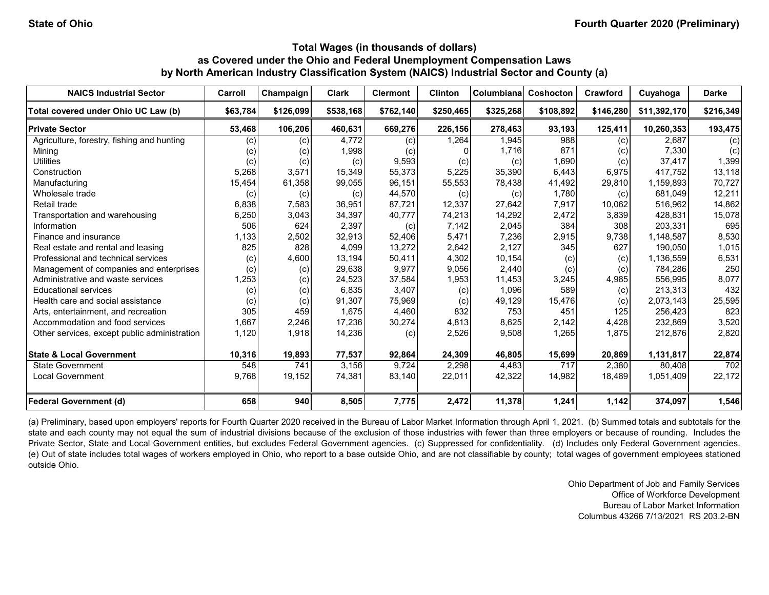| <b>NAICS Industrial Sector</b>               | Carroll  | Champaign | <b>Clark</b> | <b>Clermont</b> | <b>Clinton</b> | Columbiana | Coshocton | Crawford  | Cuyahoga     | <b>Darke</b> |
|----------------------------------------------|----------|-----------|--------------|-----------------|----------------|------------|-----------|-----------|--------------|--------------|
| Total covered under Ohio UC Law (b)          | \$63,784 | \$126,099 | \$538,168    | \$762,140       | \$250,465      | \$325,268  | \$108,892 | \$146,280 | \$11,392,170 | \$216,349    |
| <b>Private Sector</b>                        | 53,468   | 106,206   | 460,631      | 669,276         | 226,156        | 278,463    | 93,193    | 125,411   | 10,260,353   | 193,475      |
| Agriculture, forestry, fishing and hunting   | (c)      | (c)       | 4,772        | (c)             | 1,264          | 1,945      | 988       | (c)       | 2.687        | (c)          |
| Mining                                       | (c)      | (c)       | 1,998        | (c)             | O.             | 1,716      | 871       | (c)       | 7,330        | (c)          |
| <b>Utilities</b>                             | (c)      | (c)       | (c)          | 9,593           | (c)            | (c)        | 1,690     | (c)       | 37,417       | 1,399        |
| Construction                                 | 5,268    | 3,571     | 15,349       | 55,373          | 5,225          | 35,390     | 6,443     | 6,975     | 417,752      | 13,118       |
| Manufacturing                                | 15,454   | 61,358    | 99,055       | 96,151          | 55,553         | 78,438     | 41,492    | 29,810    | 1,159,893    | 70,727       |
| Wholesale trade                              | (c)      | (c)       | (c)          | 44,570          | (c)            | (c)        | 1,780     | (c)       | 681,049      | 12,211       |
| Retail trade                                 | 6,838    | 7,583     | 36,951       | 87,721          | 12,337         | 27,642     | 7,917     | 10,062    | 516,962      | 14,862       |
| Transportation and warehousing               | 6,250    | 3,043     | 34,397       | 40,777          | 74,213         | 14,292     | 2,472     | 3,839     | 428,831      | 15,078       |
| Information                                  | 506      | 624       | 2,397        | (c)             | 7,142          | 2,045      | 384       | 308       | 203,331      | 695          |
| Finance and insurance                        | 1,133    | 2,502     | 32,913       | 52,406          | 5,471          | 7,236      | 2,915     | 9,738     | 1,148,587    | 8,530        |
| Real estate and rental and leasing           | 825      | 828       | 4,099        | 13,272          | 2,642          | 2,127      | 345       | 627       | 190,050      | 1,015        |
| Professional and technical services          | (c)      | 4,600     | 13,194       | 50,411          | 4,302          | 10,154     | (c)       | (c)       | 1,136,559    | 6,531        |
| Management of companies and enterprises      | (c)      | (c)       | 29,638       | 9,977           | 9,056          | 2,440      | (c)       | (c)       | 784.286      | 250          |
| Administrative and waste services            | 1,253    | (c)       | 24,523       | 37,584          | 1,953          | 11,453     | 3,245     | 4,985     | 556,995      | 8,077        |
| <b>Educational services</b>                  | (c)      | (c)       | 6,835        | 3,407           | (c)            | 1,096      | 589       | (c)       | 213,313      | 432          |
| Health care and social assistance            | (c)      | (c)       | 91,307       | 75,969          | (c)            | 49,129     | 15,476    | (c)       | 2,073,143    | 25,595       |
| Arts, entertainment, and recreation          | 305      | 459       | 1,675        | 4,460           | 832            | 753        | 451       | 125       | 256,423      | 823          |
| Accommodation and food services              | 1,667    | 2,246     | 17,236       | 30,274          | 4,813          | 8,625      | 2,142     | 4,428     | 232,869      | 3,520        |
| Other services, except public administration | 1,120    | 1,918     | 14,236       | (c)             | 2,526          | 9,508      | 1,265     | 1.875     | 212,876      | 2,820        |
| <b>State &amp; Local Government</b>          | 10,316   | 19,893    | 77,537       | 92,864          | 24,309         | 46,805     | 15,699    | 20,869    | 1,131,817    | 22,874       |
| State Government                             | 548      | 741       | 3.156        | 9,724           | 2,298          | 4,483      | 717       | 2,380     | 80.408       | 702          |
| <b>Local Government</b>                      | 9,768    | 19,152    | 74,381       | 83,140          | 22,011         | 42,322     | 14,982    | 18,489    | 1,051,409    | 22,172       |
| Federal Government (d)                       | 658      | 940       | 8,505        | 7,775           | 2,472          | 11,378     | 1,241     | 1,142     | 374,097      | 1,546        |

(a) Preliminary, based upon employers' reports for Fourth Quarter 2020 received in the Bureau of Labor Market Information through April 1, 2021. (b) Summed totals and subtotals for the state and each county may not equal the sum of industrial divisions because of the exclusion of those industries with fewer than three employers or because of rounding. Includes the Private Sector, State and Local Government entities, but excludes Federal Government agencies. (c) Suppressed for confidentiality. (d) Includes only Federal Government agencies. (e) Out of state includes total wages of workers employed in Ohio, who report to a base outside Ohio, and are not classifiable by county; total wages of government employees stationed outside Ohio.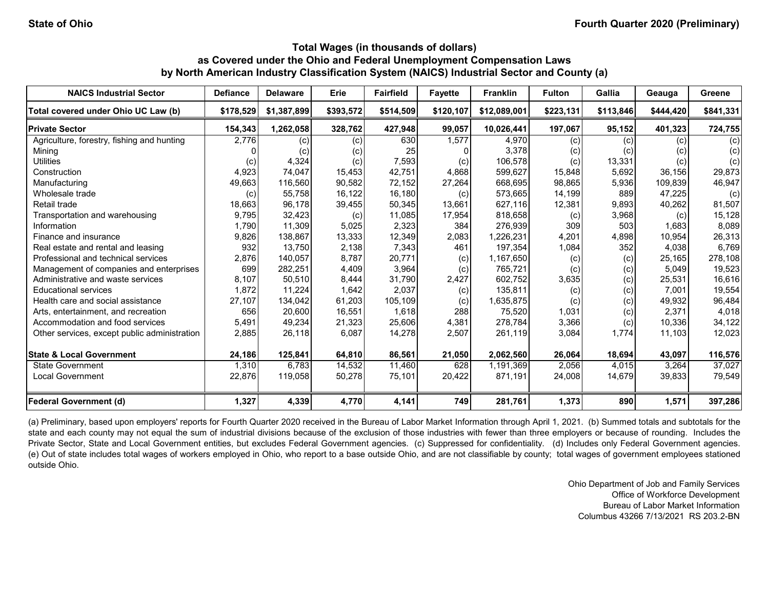| <b>NAICS Industrial Sector</b>               | <b>Defiance</b> | <b>Delaware</b> | Erie      | <b>Fairfield</b> | <b>Favette</b> | <b>Franklin</b> | <b>Fulton</b> | Gallia    | Geauga    | Greene    |
|----------------------------------------------|-----------------|-----------------|-----------|------------------|----------------|-----------------|---------------|-----------|-----------|-----------|
| Total covered under Ohio UC Law (b)          | \$178,529       | \$1,387,899     | \$393,572 | \$514,509        | \$120,107      | \$12,089,001    | \$223,131     | \$113,846 | \$444,420 | \$841,331 |
| <b>Private Sector</b>                        | 154,343         | 1,262,058       | 328,762   | 427,948          | 99,057         | 10,026,441      | 197,067       | 95,152    | 401,323   | 724,755   |
| Agriculture, forestry, fishing and hunting   | 2,776           | (c)             | (c)       | 630              | 1,577          | 4,970           | (c)           | (c)       | (c)       | (c)       |
| Mining                                       |                 | (c)             | (c)       | 25               | 0              | 3,378           | (c)           | (c)       | (c)       | (c)       |
| <b>Utilities</b>                             | (c)             | 4,324           | (c)       | 7,593            | (c)            | 106,578         | (c)           | 13,331    | (c)       | (c)       |
| Construction                                 | 4,923           | 74,047          | 15,453    | 42,751           | 4,868          | 599,627         | 15,848        | 5,692     | 36,156    | 29,873    |
| Manufacturing                                | 49,663          | 116,560         | 90,582    | 72,152           | 27,264         | 668,695         | 98,865        | 5,936     | 109,839   | 46,947    |
| Wholesale trade                              | (c)             | 55,758          | 16,122    | 16,180           | (c)            | 573,665         | 14,199        | 889       | 47,225    | (c)       |
| Retail trade                                 | 18,663          | 96,178          | 39,455    | 50,345           | 13,661         | 627,116         | 12,381        | 9,893     | 40,262    | 81,507    |
| Transportation and warehousing               | 9,795           | 32,423          | (c)       | 11,085           | 17,954         | 818,658         | (c)           | 3,968     | (c)       | 15,128    |
| Information                                  | 1,790           | 11,309          | 5,025     | 2,323            | 384            | 276,939         | 309           | 503       | 1,683     | 8,089     |
| Finance and insurance                        | 9,826           | 138,867         | 13,333    | 12,349           | 2,083          | 1,226,231       | 4,201         | 4,898     | 10,954    | 26,313    |
| Real estate and rental and leasing           | 932             | 13,750          | 2,138     | 7,343            | 461            | 197,354         | 1,084         | 352       | 4,038     | 6,769     |
| Professional and technical services          | 2,876           | 140,057         | 8,787     | 20,771           | (c)            | 1,167,650       | (c)           | (c)       | 25,165    | 278,108   |
| Management of companies and enterprises      | 699             | 282,251         | 4,409     | 3,964            | (c)            | 765,721         | (c)           | (c)       | 5,049     | 19,523    |
| Administrative and waste services            | 8,107           | 50,510          | 8,444     | 31,790           | 2,427          | 602,752         | 3,635         | (c)       | 25,531    | 16,616    |
| <b>Educational services</b>                  | 1,872           | 11,224          | 1,642     | 2,037            | (c)            | 135,811         | (c)           | (c)       | 7,001     | 19,554    |
| Health care and social assistance            | 27,107          | 134,042         | 61,203    | 105,109          | (c)            | 1,635,875       | (c)           | (c)       | 49,932    | 96,484    |
| Arts, entertainment, and recreation          | 656             | 20,600          | 16,551    | 1,618            | 288            | 75,520          | 1,031         | (c)       | 2,371     | 4,018     |
| Accommodation and food services              | 5,491           | 49,234          | 21,323    | 25,606           | 4,381          | 278,784         | 3,366         | (c)       | 10,336    | 34,122    |
| Other services, except public administration | 2,885           | 26,118          | 6,087     | 14,278           | 2,507          | 261,119         | 3,084         | 1,774     | 11,103    | 12,023    |
| <b>State &amp; Local Government</b>          | 24,186          | 125,841         | 64,810    | 86,561           | 21,050         | 2,062,560       | 26,064        | 18,694    | 43,097    | 116,576   |
| <b>State Government</b>                      | 1,310           | 6,783           | 14,532    | 11,460           | 628            | 1,191,369       | 2,056         | 4,015     | 3,264     | 37,027    |
| <b>Local Government</b>                      | 22,876          | 119,058         | 50,278    | 75,101           | 20,422         | 871,191         | 24,008        | 14,679    | 39,833    | 79,549    |
| <b>Federal Government (d)</b>                | 1,327           | 4,339           | 4,770     | 4,141            | 749            | 281,761         | 1,373         | 890       | 1,571     | 397,286   |

(a) Preliminary, based upon employers' reports for Fourth Quarter 2020 received in the Bureau of Labor Market Information through April 1, 2021. (b) Summed totals and subtotals for the state and each county may not equal the sum of industrial divisions because of the exclusion of those industries with fewer than three employers or because of rounding. Includes the Private Sector, State and Local Government entities, but excludes Federal Government agencies. (c) Suppressed for confidentiality. (d) Includes only Federal Government agencies. (e) Out of state includes total wages of workers employed in Ohio, who report to a base outside Ohio, and are not classifiable by county; total wages of government employees stationed outside Ohio.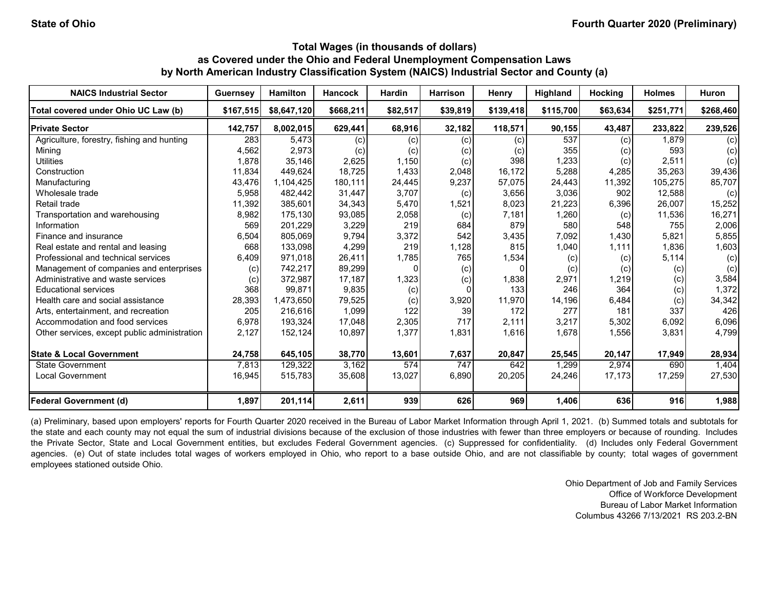| <b>NAICS Industrial Sector</b>               | <b>Guernsey</b> | <b>Hamilton</b> | <b>Hancock</b> | <b>Hardin</b> | <b>Harrison</b> | Henry     | Highland  | <b>Hocking</b> | <b>Holmes</b> | <b>Huron</b> |
|----------------------------------------------|-----------------|-----------------|----------------|---------------|-----------------|-----------|-----------|----------------|---------------|--------------|
| Total covered under Ohio UC Law (b)          | \$167,515       | \$8,647,120     | \$668,211      | \$82,517      | \$39,819        | \$139,418 | \$115,700 | \$63,634       | \$251,771     | \$268,460    |
| <b>Private Sector</b>                        | 142,757         | 8,002,015       | 629,441        | 68,916        | 32,182          | 118,571   | 90,155    | 43,487         | 233,822       | 239,526      |
| Agriculture, forestry, fishing and hunting   | 283             | 5.473           | (c)            | (c)           | (c)             | (c)       | 537       | (c)            | 1,879         | (c)          |
| Mining                                       | 4,562           | 2,973           | (c)            | (c)           | (c)             | (c)       | 355       | (c)            | 593           | (c)          |
| <b>Utilities</b>                             | 1,878           | 35,146          | 2,625          | 1,150         | (c)             | 398       | 1,233     | (c)            | 2,511         | (c)          |
| Construction                                 | 11,834          | 449.624         | 18.725         | 1,433         | 2,048           | 16.172    | 5,288     | 4,285          | 35,263        | 39,436       |
| Manufacturing                                | 43,476          | 1,104,425       | 180,111        | 24,445        | 9,237           | 57,075    | 24,443    | 11,392         | 105,275       | 85,707       |
| Wholesale trade                              | 5,958           | 482,442         | 31,447         | 3,707         | (c)             | 3,656     | 3,036     | 902            | 12,588        | (c)          |
| Retail trade                                 | 11,392          | 385,601         | 34,343         | 5,470         | 1,521           | 8,023     | 21,223    | 6,396          | 26,007        | 15,252       |
| Transportation and warehousing               | 8,982           | 175,130         | 93,085         | 2,058         | (c)             | 7,181     | 1,260     | (c)            | 11,536        | 16,271       |
| Information                                  | 569             | 201,229         | 3,229          | 219           | 684             | 879       | 580       | 548            | 755           | 2,006        |
| Finance and insurance                        | 6,504           | 805,069         | 9,794          | 3,372         | 542             | 3,435     | 7,092     | 1,430          | 5,821         | 5,855        |
| Real estate and rental and leasing           | 668             | 133,098         | 4,299          | 219           | 1,128           | 815       | 1,040     | 1,111          | 1,836         | 1,603        |
| Professional and technical services          | 6,409           | 971,018         | 26,411         | 1,785         | 765             | 1,534     | (c)       | (c)            | 5,114         | (c)          |
| Management of companies and enterprises      | (c)             | 742,217         | 89,299         |               | (c)             |           | (c)       | (c)            | (c)           | (c)          |
| Administrative and waste services            | (c)             | 372,987         | 17,187         | 1,323         | (c)             | 1,838     | 2,971     | 1,219          | (c)           | 3,584        |
| <b>Educational services</b>                  | 368             | 99.871          | 9,835          | (c)           |                 | 133       | 246       | 364            | (c)           | 1,372        |
| Health care and social assistance            | 28,393          | 1,473,650       | 79,525         | (c)           | 3,920           | 11,970    | 14,196    | 6,484          | (c)           | 34,342       |
| Arts, entertainment, and recreation          | 205             | 216,616         | 1,099          | 122           | 39              | 172       | 277       | 181            | 337           | 426          |
| Accommodation and food services              | 6,978           | 193,324         | 17,048         | 2,305         | 717             | 2,111     | 3,217     | 5,302          | 6,092         | 6,096        |
| Other services, except public administration | 2,127           | 152,124         | 10,897         | 1,377         | 1,831           | 1,616     | 1,678     | 1,556          | 3,831         | 4,799        |
| <b>State &amp; Local Government</b>          | 24,758          | 645,105         | 38,770         | 13,601        | 7,637           | 20,847    | 25,545    | 20,147         | 17,949        | 28,934       |
| <b>State Government</b>                      | 7,813           | 129,322         | 3,162          | 574           | 747             | 642       | 1,299     | 2,974          | 690           | 1,404        |
| <b>Local Government</b>                      | 16,945          | 515,783         | 35,608         | 13,027        | 6,890           | 20,205    | 24,246    | 17,173         | 17,259        | 27,530       |
| <b>Federal Government (d)</b>                | 1,897           | 201,114         | 2,611          | 939           | 626             | 969       | 1,406     | 636            | 916           | 1,988        |

(a) Preliminary, based upon employers' reports for Fourth Quarter 2020 received in the Bureau of Labor Market Information through April 1, 2021. (b) Summed totals and subtotals for the state and each county may not equal the sum of industrial divisions because of the exclusion of those industries with fewer than three employers or because of rounding. Includes the Private Sector, State and Local Government entities, but excludes Federal Government agencies. (c) Suppressed for confidentiality. (d) Includes only Federal Government agencies. (e) Out of state includes total wages of workers employed in Ohio, who report to a base outside Ohio, and are not classifiable by county; total wages of government employees stationed outside Ohio.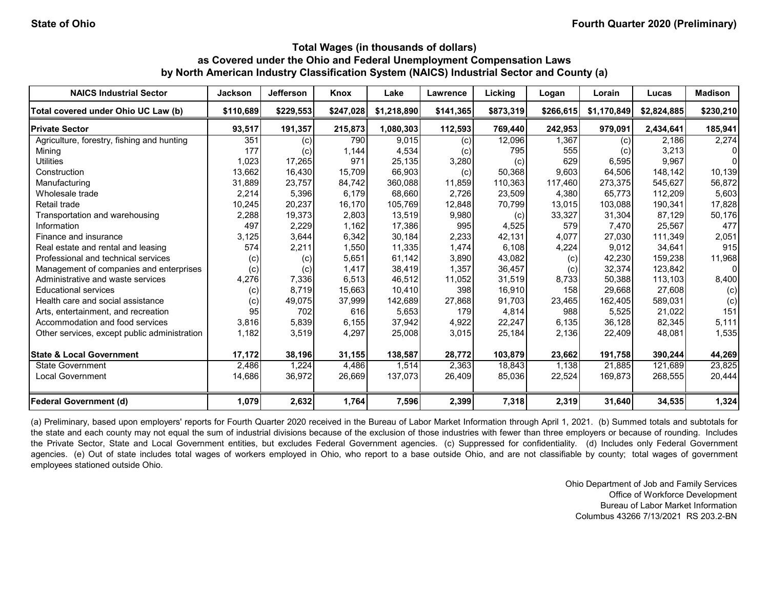| <b>NAICS Industrial Sector</b>               | <b>Jackson</b> | <b>Jefferson</b> | Knox      | Lake        | Lawrence  | Licking   | Logan     | Lorain      | Lucas       | <b>Madison</b> |
|----------------------------------------------|----------------|------------------|-----------|-------------|-----------|-----------|-----------|-------------|-------------|----------------|
| Total covered under Ohio UC Law (b)          | \$110.689      | \$229,553        | \$247,028 | \$1,218,890 | \$141,365 | \$873,319 | \$266,615 | \$1,170,849 | \$2,824,885 | \$230,210      |
| <b>Private Sector</b>                        | 93,517         | 191,357          | 215,873   | 1,080,303   | 112,593   | 769,440   | 242,953   | 979,091     | 2,434,641   | 185,941        |
| Agriculture, forestry, fishing and hunting   | 351            | (c)              | 790       | 9.015       | (c)       | 12,096    | 1.367     | (c)         | 2.186       | 2,274          |
| Mining                                       | 177            | (c)              | 1,144     | 4,534       | (c)       | 795       | 555       | (c)         | 3,213       | $\Omega$       |
| <b>Utilities</b>                             | 1,023          | 17,265           | 971       | 25,135      | 3,280     | (c)       | 629       | 6,595       | 9.967       | $\Omega$       |
| Construction                                 | 13,662         | 16,430           | 15,709    | 66,903      | (c)       | 50,368    | 9,603     | 64,506      | 148.142     | 10,139         |
| Manufacturing                                | 31,889         | 23,757           | 84,742    | 360,088     | 11,859    | 110,363   | 117,460   | 273,375     | 545,627     | 56,872         |
| Wholesale trade                              | 2,214          | 5,396            | 6,179     | 68,660      | 2,726     | 23,509    | 4,380     | 65,773      | 112,209     | 5,603          |
| Retail trade                                 | 10,245         | 20,237           | 16,170    | 105,769     | 12,848    | 70,799    | 13,015    | 103,088     | 190,341     | 17,828         |
| Transportation and warehousing               | 2,288          | 19,373           | 2,803     | 13,519      | 9,980     | (c)       | 33,327    | 31,304      | 87,129      | 50,176         |
| Information                                  | 497            | 2,229            | 1,162     | 17,386      | 995       | 4,525     | 579       | 7,470       | 25,567      | 477            |
| Finance and insurance                        | 3,125          | 3,644            | 6,342     | 30,184      | 2,233     | 42,131    | 4,077     | 27,030      | 111,349     | 2,051          |
| Real estate and rental and leasing           | 574            | 2,211            | 1,550     | 11,335      | 1,474     | 6,108     | 4,224     | 9,012       | 34,641      | 915            |
| Professional and technical services          | (c)            | (c)              | 5,651     | 61,142      | 3,890     | 43,082    | (c)       | 42,230      | 159.238     | 11,968         |
| Management of companies and enterprises      | (c)            | (c)              | 1.417     | 38,419      | 1.357     | 36,457    | (c)       | 32,374      | 123.842     | $\overline{0}$ |
| Administrative and waste services            | 4,276          | 7,336            | 6,513     | 46.512      | 11,052    | 31,519    | 8,733     | 50,388      | 113,103     | 8,400          |
| <b>Educational services</b>                  | (c)            | 8,719            | 15,663    | 10,410      | 398       | 16,910    | 158       | 29,668      | 27,608      | (c)            |
| Health care and social assistance            | (c)            | 49,075           | 37,999    | 142,689     | 27,868    | 91,703    | 23,465    | 162,405     | 589,031     | (c)            |
| Arts, entertainment, and recreation          | 95             | 702              | 616       | 5,653       | 179       | 4,814     | 988       | 5,525       | 21,022      | 151            |
| Accommodation and food services              | 3,816          | 5,839            | 6,155     | 37,942      | 4,922     | 22,247    | 6,135     | 36,128      | 82,345      | 5,111          |
| Other services, except public administration | 1,182          | 3,519            | 4,297     | 25,008      | 3,015     | 25,184    | 2,136     | 22,409      | 48,081      | 1,535          |
| <b>State &amp; Local Government</b>          | 17,172         | 38,196           | 31,155    | 138,587     | 28,772    | 103,879   | 23,662    | 191,758     | 390,244     | 44,269         |
| <b>State Government</b>                      | 2,486          | 1,224            | 4.486     | 1,514       | 2,363     | 18.843    | 1,138     | 21,885      | 121,689     | 23,825         |
| <b>Local Government</b>                      | 14,686         | 36,972           | 26,669    | 137,073     | 26,409    | 85,036    | 22,524    | 169,873     | 268,555     | 20,444         |
| <b>Federal Government (d)</b>                | 1,079          | 2,632            | 1,764     | 7,596       | 2,399     | 7,318     | 2,319     | 31,640      | 34,535      | 1,324          |

(a) Preliminary, based upon employers' reports for Fourth Quarter 2020 received in the Bureau of Labor Market Information through April 1, 2021. (b) Summed totals and subtotals for the state and each county may not equal the sum of industrial divisions because of the exclusion of those industries with fewer than three employers or because of rounding. Includes the Private Sector, State and Local Government entities, but excludes Federal Government agencies. (c) Suppressed for confidentiality. (d) Includes only Federal Government agencies. (e) Out of state includes total wages of workers employed in Ohio, who report to a base outside Ohio, and are not classifiable by county; total wages of government employees stationed outside Ohio.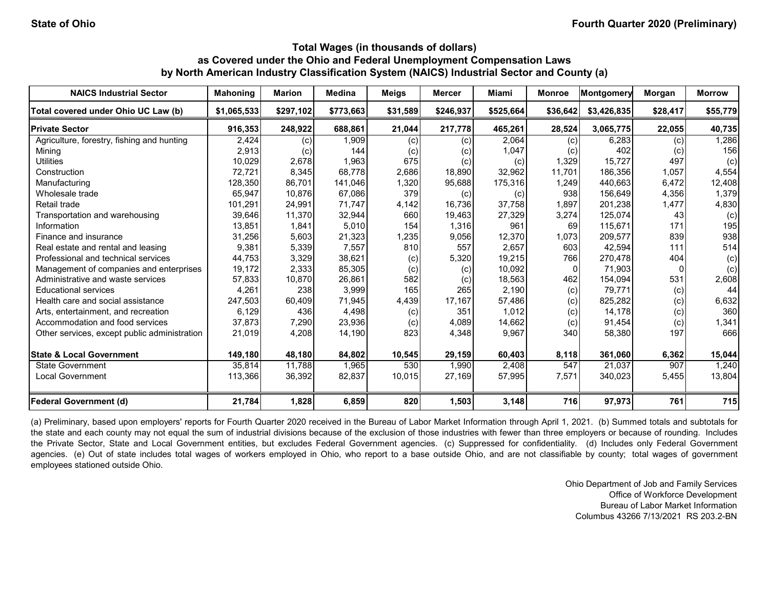| <b>NAICS Industrial Sector</b>               | <b>Mahoning</b> | <b>Marion</b> | <b>Medina</b> | <b>Meigs</b> | <b>Mercer</b> | Miami                      | <b>Monroe</b> | Montgomery  | Morgan   | <b>Morrow</b> |
|----------------------------------------------|-----------------|---------------|---------------|--------------|---------------|----------------------------|---------------|-------------|----------|---------------|
| Total covered under Ohio UC Law (b)          | \$1,065,533     | \$297,102     | \$773,663     | \$31,589     | \$246,937     | \$525,664                  | \$36,642      | \$3,426,835 | \$28,417 | \$55,779      |
| <b>Private Sector</b>                        | 916,353         | 248,922       | 688,861       | 21,044       | 217,778       | 465,261                    | 28,524        | 3,065,775   | 22,055   | 40,735        |
| Agriculture, forestry, fishing and hunting   | 2,424           | (c)           | 1,909         | (c)          | (c)           | 2,064                      | (c)           | 6,283       | (c)      | 1,286         |
| Mining                                       | 2,913           | (c)           | 144           | (c)          | (c)           | 1,047                      | (c)           | 402         | (c)      | 156           |
| <b>Utilities</b>                             | 10,029          | 2,678         | 1,963         | 675          | (c)           | (c)                        | 1,329         | 15,727      | 497      | (c)           |
| Construction                                 | 72,721          | 8,345         | 68.778        | 2,686        | 18,890        | 32,962                     | 11.701        | 186.356     | 1,057    | 4,554         |
| Manufacturing                                | 128,350         | 86,701        | 141,046       | 1,320        | 95,688        | 175,316                    | 1,249         | 440.663     | 6,472    | 12,408        |
| Wholesale trade                              | 65,947          | 10,876        | 67,086        | 379          | (c)           | $\left( \mathrm{c}\right)$ | 938           | 156,649     | 4,356    | 1,379         |
| Retail trade                                 | 101,291         | 24,991        | 71.747        | 4,142        | 16,736        | 37,758                     | 1,897         | 201,238     | 1,477    | 4,830         |
| Transportation and warehousing               | 39,646          | 11,370        | 32,944        | 660          | 19,463        | 27,329                     | 3,274         | 125.074     | 43       | (c)           |
| Information                                  | 13,851          | 1,841         | 5,010         | 154          | 1,316         | 961                        | 69            | 115,671     | 171      | 195           |
| Finance and insurance                        | 31,256          | 5,603         | 21,323        | 1,235        | 9,056         | 12,370                     | 1,073         | 209,577     | 839      | 938           |
| Real estate and rental and leasing           | 9,381           | 5,339         | 7,557         | 810          | 557           | 2,657                      | 603           | 42,594      | 111      | 514           |
| Professional and technical services          | 44,753          | 3,329         | 38,621        | (c)          | 5,320         | 19,215                     | 766           | 270,478     | 404      | (c)           |
| Management of companies and enterprises      | 19,172          | 2,333         | 85,305        | (c)          | (c)           | 10,092                     | $\mathbf{0}$  | 71,903      | 0        | (c)           |
| Administrative and waste services            | 57,833          | 10,870        | 26,861        | 582          | (c)           | 18,563                     | 462           | 154,094     | 531      | 2,608         |
| <b>Educational services</b>                  | 4,261           | 238           | 3,999         | 165          | 265           | 2,190                      | (c)           | 79,771      | (c)      | 44            |
| Health care and social assistance            | 247,503         | 60,409        | 71,945        | 4,439        | 17,167        | 57,486                     | (c)           | 825,282     | (c)      | 6,632         |
| Arts, entertainment, and recreation          | 6,129           | 436           | 4,498         | (c)          | 351           | 1,012                      | (c)           | 14,178      | (c)      | 360           |
| Accommodation and food services              | 37,873          | 7,290         | 23,936        | (c)          | 4,089         | 14,662                     | (c)           | 91,454      | (c)      | 1,341         |
| Other services, except public administration | 21,019          | 4,208         | 14,190        | 823          | 4,348         | 9,967                      | 340           | 58,380      | 197      | 666           |
| <b>State &amp; Local Government</b>          | 149,180         | 48,180        | 84,802        | 10,545       | 29,159        | 60,403                     | 8,118         | 361,060     | 6,362    | 15,044        |
| <b>State Government</b>                      | 35,814          | 11,788        | 1,965         | 530          | 1,990         | 2,408                      | 547           | 21,037      | 907      | 1,240         |
| <b>Local Government</b>                      | 113,366         | 36,392        | 82,837        | 10,015       | 27,169        | 57,995                     | 7,571         | 340,023     | 5,455    | 13,804        |
| <b>Federal Government (d)</b>                | 21,784          | 1,828         | 6,859         | 820          | 1,503         | 3,148                      | 716           | 97,973      | 761      | 715           |

(a) Preliminary, based upon employers' reports for Fourth Quarter 2020 received in the Bureau of Labor Market Information through April 1, 2021. (b) Summed totals and subtotals for the state and each county may not equal the sum of industrial divisions because of the exclusion of those industries with fewer than three employers or because of rounding. Includes the Private Sector, State and Local Government entities, but excludes Federal Government agencies. (c) Suppressed for confidentiality. (d) Includes only Federal Government agencies. (e) Out of state includes total wages of workers employed in Ohio, who report to a base outside Ohio, and are not classifiable by county; total wages of government employees stationed outside Ohio.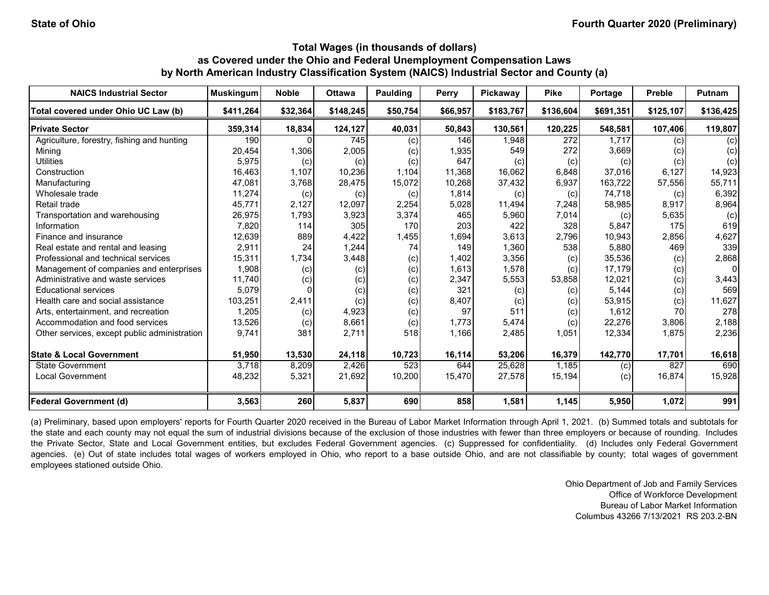| <b>NAICS Industrial Sector</b>               | <b>Muskingum</b> | <b>Noble</b> | <b>Ottawa</b> | <b>Paulding</b> | Perry    | Pickaway  | <b>Pike</b> | Portage   | <b>Preble</b> | Putnam    |
|----------------------------------------------|------------------|--------------|---------------|-----------------|----------|-----------|-------------|-----------|---------------|-----------|
| Total covered under Ohio UC Law (b)          | \$411.264        | \$32,364     | \$148,245     | \$50,754        | \$66,957 | \$183,767 | \$136.604   | \$691,351 | \$125,107     | \$136,425 |
| <b>Private Sector</b>                        | 359,314          | 18,834       | 124,127       | 40,031          | 50,843   | 130,561   | 120,225     | 548,581   | 107,406       | 119,807   |
| Agriculture, forestry, fishing and hunting   | 190              |              | 745           | (c)             | 146      | 1.948     | 272         | 1.717     | (c)           | (c)       |
| Mining                                       | 20,454           | 1,306        | 2,005         | (c)             | 1,935    | 549       | 272         | 3,669     | (c)           | (c)       |
| <b>Utilities</b>                             | 5,975            | (c)          | (c)           | (c)             | 647      | (c)       | (c)         | (c)       | (c)           | (c)       |
| Construction                                 | 16,463           | 1,107        | 10,236        | 1,104           | 11,368   | 16,062    | 6,848       | 37,016    | 6,127         | 14,923    |
| Manufacturing                                | 47,081           | 3,768        | 28,475        | 15,072          | 10,268   | 37,432    | 6,937       | 163,722   | 57,556        | 55,711    |
| Wholesale trade                              | 11,274           | (c)          | (c)           | (c)             | 1,814    | (c)       | (c)         | 74,718    | (c)           | 6,392     |
| Retail trade                                 | 45,771           | 2,127        | 12,097        | 2,254           | 5,028    | 11,494    | 7,248       | 58,985    | 8,917         | 8,964     |
| Transportation and warehousing               | 26,975           | 1,793        | 3,923         | 3,374           | 465      | 5,960     | 7,014       | (c)       | 5,635         | (c)       |
| Information                                  | 7,820            | 114          | 305           | 170             | 203      | 422       | 328         | 5,847     | 175           | 619       |
| Finance and insurance                        | 12,639           | 889          | 4,422         | 1,455           | 1,694    | 3,613     | 2,796       | 10,943    | 2,856         | 4,627     |
| Real estate and rental and leasing           | 2,911            | 24           | 1,244         | 74              | 149      | 1,360     | 538         | 5,880     | 469           | 339       |
| Professional and technical services          | 15,311           | 1,734        | 3,448         | (c)             | 1,402    | 3,356     | (c)         | 35,536    | (c)           | 2,868     |
| Management of companies and enterprises      | 1,908            | (c)          | (c)           | (c)             | 1,613    | 1,578     | (c)         | 17,179    | (c)           | 0         |
| Administrative and waste services            | 11,740           | (c)          | (c)           | (c)             | 2,347    | 5,553     | 53,858      | 12,021    | (c)           | 3,443     |
| <b>Educational services</b>                  | 5,079            |              | (c)           | (c)             | 321      | (c)       | (c)         | 5,144     | (c)           | 569       |
| Health care and social assistance            | 103,251          | 2,411        | (c)           | (c)             | 8,407    | (c)       | (c)         | 53,915    | (c)           | 11,627    |
| Arts, entertainment, and recreation          | 1,205            | (c)          | 4,923         | (c)             | 97       | 511       | (c)         | 1,612     | 70            | 278       |
| Accommodation and food services              | 13,526           | (c)          | 8,661         | (c)             | 1,773    | 5,474     | (c)         | 22,276    | 3,806         | 2,188     |
| Other services, except public administration | 9,741            | 381          | 2,711         | 518             | 1,166    | 2,485     | 1,051       | 12,334    | 1,875         | 2,236     |
| <b>State &amp; Local Government</b>          | 51,950           | 13,530       | 24,118        | 10,723          | 16,114   | 53,206    | 16,379      | 142,770   | 17,701        | 16,618    |
| State Government                             | 3,718            | 8,209        | 2,426         | 523             | 644      | 25,628    | 1.185       | (c)       | 827           | 690       |
| <b>Local Government</b>                      | 48,232           | 5,321        | 21,692        | 10,200          | 15,470   | 27,578    | 15,194      | (c)       | 16,874        | 15,928    |
| <b>Federal Government (d)</b>                | 3,563            | 260          | 5,837         | 690             | 858      | 1,581     | 1,145       | 5,950     | 1,072         | 991       |

(a) Preliminary, based upon employers' reports for Fourth Quarter 2020 received in the Bureau of Labor Market Information through April 1, 2021. (b) Summed totals and subtotals for the state and each county may not equal the sum of industrial divisions because of the exclusion of those industries with fewer than three employers or because of rounding. Includes the Private Sector, State and Local Government entities, but excludes Federal Government agencies. (c) Suppressed for confidentiality. (d) Includes only Federal Government agencies. (e) Out of state includes total wages of workers employed in Ohio, who report to a base outside Ohio, and are not classifiable by county; total wages of government employees stationed outside Ohio.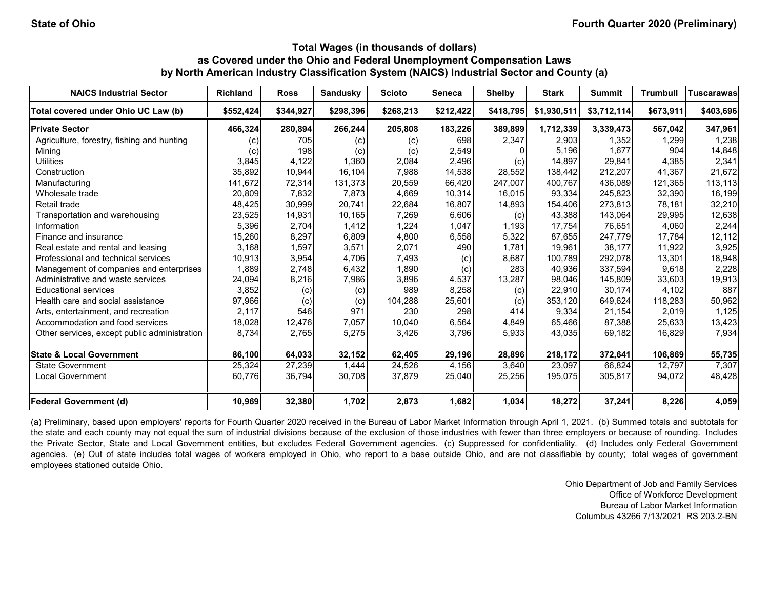| <b>NAICS Industrial Sector</b>               | <b>Richland</b>   | <b>Ross</b> | <b>Sandusky</b> | <b>Scioto</b> | Seneca    | <b>Shelby</b> | <b>Stark</b> | <b>Summit</b> | <b>Trumbull</b> | <b>Tuscarawas</b> |
|----------------------------------------------|-------------------|-------------|-----------------|---------------|-----------|---------------|--------------|---------------|-----------------|-------------------|
| Total covered under Ohio UC Law (b)          | \$552,424         | \$344,927   | \$298,396       | \$268,213     | \$212,422 | \$418,795     | \$1,930,511  | \$3,712,114   | \$673,911       | \$403,696         |
| <b>Private Sector</b>                        | 466,324           | 280,894     | 266,244         | 205,808       | 183,226   | 389,899       | 1,712,339    | 3,339,473     | 567,042         | 347,961           |
| Agriculture, forestry, fishing and hunting   | (c)               | 705         | (c)             | (c)           | 698       | 2,347         | 2.903        | 1,352         | 1,299           | 1,238             |
| Mining                                       | $\left( c\right)$ | 198         | (c)             | (c)           | 2,549     |               | 5,196        | 1,677         | 904             | 14,848            |
| <b>Utilities</b>                             | 3,845             | 4,122       | 1,360           | 2,084         | 2,496     | (c)           | 14.897       | 29.841        | 4,385           | 2,341             |
| Construction                                 | 35,892            | 10,944      | 16,104          | 7,988         | 14,538    | 28,552        | 138,442      | 212,207       | 41,367          | 21,672            |
| Manufacturing                                | 141,672           | 72,314      | 131,373         | 20,559        | 66,420    | 247,007       | 400,767      | 436,089       | 121,365         | 113,113           |
| Wholesale trade                              | 20,809            | 7,832       | 7,873           | 4,669         | 10,314    | 16,015        | 93,334       | 245,823       | 32,390          | 16,199            |
| Retail trade                                 | 48,425            | 30,999      | 20,741          | 22,684        | 16,807    | 14,893        | 154,406      | 273,813       | 78,181          | 32,210            |
| Transportation and warehousing               | 23,525            | 14,931      | 10,165          | 7,269         | 6,606     | (c)           | 43,388       | 143,064       | 29,995          | 12,638            |
| Information                                  | 5,396             | 2,704       | 1,412           | 1,224         | 1,047     | 1,193         | 17,754       | 76,651        | 4,060           | 2,244             |
| Finance and insurance                        | 15,260            | 8,297       | 6,809           | 4,800         | 6,558     | 5,322         | 87,655       | 247,779       | 17,784          | 12,112            |
| Real estate and rental and leasing           | 3,168             | 1,597       | 3,571           | 2,071         | 490       | 1,781         | 19,961       | 38,177        | 11,922          | 3,925             |
| Professional and technical services          | 10,913            | 3,954       | 4,706           | 7,493         | (c)       | 8,687         | 100,789      | 292,078       | 13,301          | 18,948            |
| Management of companies and enterprises      | 1,889             | 2,748       | 6,432           | 1,890         | (c)       | 283           | 40,936       | 337,594       | 9,618           | 2,228             |
| Administrative and waste services            | 24,094            | 8,216       | 7,986           | 3,896         | 4,537     | 13,287        | 98,046       | 145,809       | 33,603          | 19,913            |
| <b>Educational services</b>                  | 3,852             | (c)         | (c)             | 989           | 8,258     | (c)           | 22,910       | 30,174        | 4,102           | 887               |
| Health care and social assistance            | 97,966            | (c)         | (c)             | 104,288       | 25,601    | (c)           | 353,120      | 649,624       | 118,283         | 50,962            |
| Arts, entertainment, and recreation          | 2,117             | 546         | 971             | 230           | 298       | 414           | 9,334        | 21,154        | 2,019           | 1,125             |
| Accommodation and food services              | 18,028            | 12,476      | 7,057           | 10,040        | 6,564     | 4,849         | 65,466       | 87,388        | 25,633          | 13,423            |
| Other services, except public administration | 8,734             | 2,765       | 5,275           | 3,426         | 3,796     | 5,933         | 43,035       | 69,182        | 16,829          | 7,934             |
| <b>State &amp; Local Government</b>          | 86,100            | 64,033      | 32,152          | 62,405        | 29,196    | 28,896        | 218,172      | 372,641       | 106,869         | 55,735            |
| <b>State Government</b>                      | 25,324            | 27,239      | 1,444           | 24,526        | 4,156     | 3,640         | 23.097       | 66.824        | 12,797          | 7,307             |
| <b>Local Government</b>                      | 60,776            | 36,794      | 30,708          | 37,879        | 25,040    | 25,256        | 195,075      | 305,817       | 94,072          | 48,428            |
| <b>Federal Government (d)</b>                | 10,969            | 32,380      | 1,702           | 2,873         | 1,682     | 1,034         | 18,272       | 37,241        | 8,226           | 4,059             |

(a) Preliminary, based upon employers' reports for Fourth Quarter 2020 received in the Bureau of Labor Market Information through April 1, 2021. (b) Summed totals and subtotals for the state and each county may not equal the sum of industrial divisions because of the exclusion of those industries with fewer than three employers or because of rounding. Includes the Private Sector, State and Local Government entities, but excludes Federal Government agencies. (c) Suppressed for confidentiality. (d) Includes only Federal Government agencies. (e) Out of state includes total wages of workers employed in Ohio, who report to a base outside Ohio, and are not classifiable by county; total wages of government employees stationed outside Ohio.